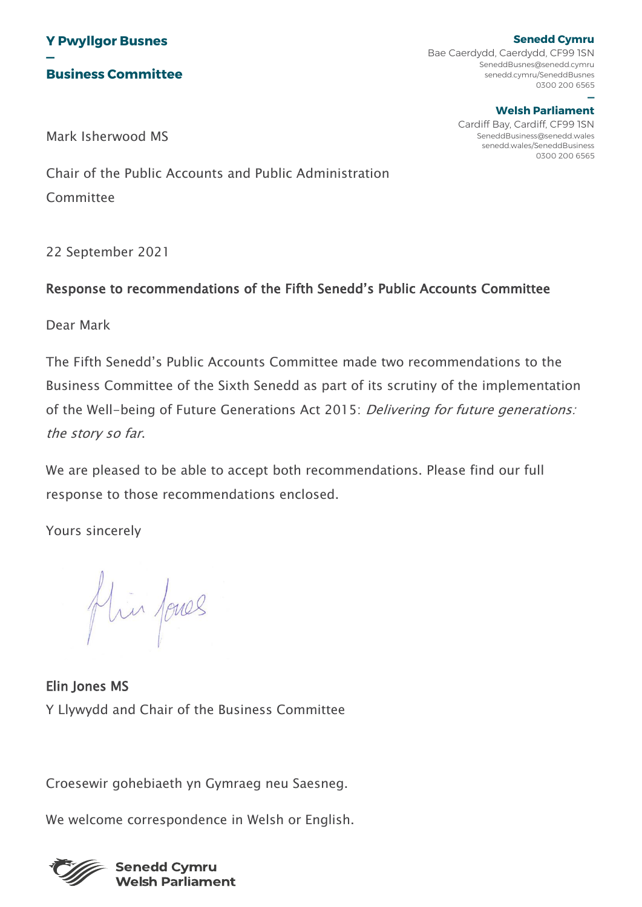

**Senedd Cymru** Bae Caerdydd, Caerdydd, CF99 1SN SeneddBusnes@senedd.cymru senedd.cymru/SeneddBusnes 0300 200 6565 **—**

#### **Welsh Parliament**

Cardiff Bay, Cardiff, CF99 1SN SeneddBusiness@senedd.wales senedd.wales/SeneddBusiness 0300 200 6565

Mark Isherwood MS

Chair of the Public Accounts and Public Administration **Committee** 

22 September 2021

### Response to recommendations of the Fifth Senedd's Public Accounts Committee

Dear Mark

The Fifth Senedd's Public Accounts Committee made two recommendations to the Business Committee of the Sixth Senedd as part of its scrutiny of the implementation of the Well-being of Future Generations Act 2015: Delivering for future generations: the story so far.

We are pleased to be able to accept both recommendations. Please find our full response to those recommendations enclosed.

Yours sincerely

flür fores

Elin Jones MS Y Llywydd and Chair of the Business Committee

Croesewir gohebiaeth yn Gymraeg neu Saesneg.

We welcome correspondence in Welsh or English.

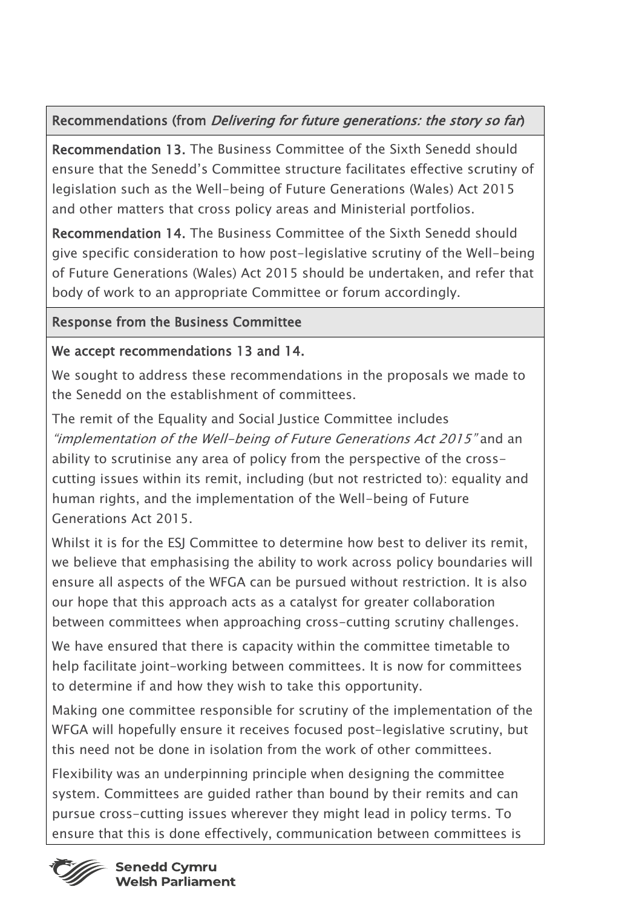# Recommendations (from Delivering for future generations: the story so far)

Recommendation 13. The Business Committee of the Sixth Senedd should ensure that the Senedd's Committee structure facilitates effective scrutiny of legislation such as the Well-being of Future Generations (Wales) Act 2015 and other matters that cross policy areas and Ministerial portfolios.

Recommendation 14. The Business Committee of the Sixth Senedd should give specific consideration to how post-legislative scrutiny of the Well-being of Future Generations (Wales) Act 2015 should be undertaken, and refer that body of work to an appropriate Committee or forum accordingly.

## Response from the Business Committee

## We accept recommendations 13 and 14.

We sought to address these recommendations in the proposals we made to the Senedd on the establishment of committees.

The remit of the Equality and Social Justice Committee includes "implementation of the Well-being of Future Generations Act 2015" and an ability to scrutinise any area of policy from the perspective of the crosscutting issues within its remit, including (but not restricted to): equality and human rights, and the implementation of the Well-being of Future Generations Act 2015.

Whilst it is for the ESJ Committee to determine how best to deliver its remit, we believe that emphasising the ability to work across policy boundaries will ensure all aspects of the WFGA can be pursued without restriction. It is also our hope that this approach acts as a catalyst for greater collaboration between committees when approaching cross-cutting scrutiny challenges.

We have ensured that there is capacity within the committee timetable to help facilitate joint-working between committees. It is now for committees to determine if and how they wish to take this opportunity.

Making one committee responsible for scrutiny of the implementation of the WFGA will hopefully ensure it receives focused post-legislative scrutiny, but this need not be done in isolation from the work of other committees.

Flexibility was an underpinning principle when designing the committee system. Committees are guided rather than bound by their remits and can pursue cross-cutting issues wherever they might lead in policy terms. To ensure that this is done effectively, communication between committees is



**Senedd Cymru Welsh Parliament**